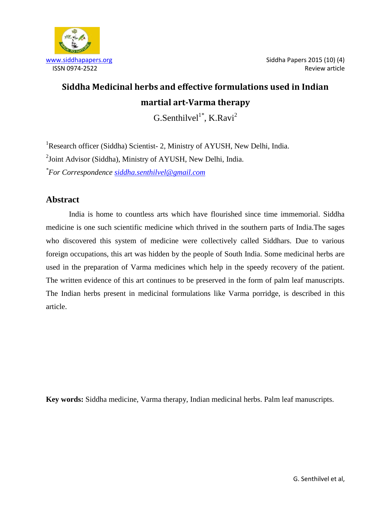

# **Siddha Medicinal herbs and effective formulations used in Indian martial art-Varma therapy**

G.Senthilvel<sup>1\*</sup>, K.Ravi<sup>2</sup>

<sup>1</sup>Research officer (Siddha) Scientist- 2, Ministry of AYUSH, New Delhi, India. <sup>2</sup>Joint Advisor (Siddha), Ministry of AYUSH, New Delhi, India. *\* For Correspondence [siddha.senthilvel@gmail.com](mailto:siddha.senthilvel@gmail.com)*

## **Abstract**

India is home to countless arts which have flourished since time immemorial. Siddha medicine is one such scientific medicine which thrived in the southern parts of India.The sages who discovered this system of medicine were collectively called Siddhars. Due to various foreign occupations, this art was hidden by the people of South India. Some medicinal herbs are used in the preparation of Varma medicines which help in the speedy recovery of the patient. The written evidence of this art continues to be preserved in the form of palm leaf manuscripts. The Indian herbs present in medicinal formulations like Varma porridge, is described in this article.

**Key words:** Siddha medicine, Varma therapy, Indian medicinal herbs. Palm leaf manuscripts.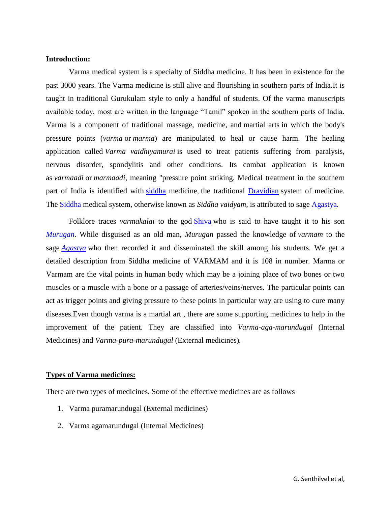#### **Introduction:**

Varma medical system is a specialty of Siddha medicine. It has been in existence for the past 3000 years. The Varma medicine is still alive and flourishing in southern parts of India.It is taught in traditional Gurukulam style to only a handful of students. Of the varma manuscripts available today, most are written in the language "Tamil" spoken in the southern parts of India. Varma is a component of traditional massage, medicine, and martial arts in which the body's pressure points (*varma* or *marma*) are manipulated to heal or cause harm. The healing application called *Varma vaidhiyamurai* is used to treat patients suffering from paralysis, nervous disorder, spondylitis and other conditions. Its combat application is known as *varmaadi* or *marmaadi*, meaning "pressure point striking. Medical treatment in the southern part of India is identified with [siddha](http://en.wikipedia.org/wiki/Siddha) medicine, the traditional [Dravidian](http://en.wikipedia.org/wiki/Dravidian_peoples) system of medicine. The [Siddha](http://en.wikipedia.org/wiki/Siddha_medicine) medical system, otherwise known as *Siddha vaidyam*, is attributed to sage [Agastya.](http://en.wikipedia.org/wiki/Agastya)

Folklore traces *varmakalai* to the god [Shiva](http://en.wikipedia.org/wiki/Shiva) who is said to have taught it to his son *[Murugan](http://en.wikipedia.org/wiki/Murugan)*. While disguised as an old man, *Murugan* passed the knowledge of *varmam* to the sage *[Agastya](http://en.wikipedia.org/wiki/Agastya)* who then recorded it and disseminated the skill among his students. We get a detailed description from Siddha medicine of VARMAM and it is 108 in number. Marma or Varmam are the vital points in human body which may be a joining place of two bones or two muscles or a muscle with a bone or a passage of arteries/veins/nerves. The particular points can act as trigger points and giving pressure to these points in particular way are using to cure many diseases.Even though varma is a martial art , there are some supporting medicines to help in the improvement of the patient. They are classified into *Varma-aga-marundugal* (Internal Medicines) and *Varma-pura-marundugal* (External medicines)*.*

#### **Types of Varma medicines:**

There are two types of medicines. Some of the effective medicines are as follows

- 1. Varma puramarundugal (External medicines)
- 2. Varma agamarundugal (Internal Medicines)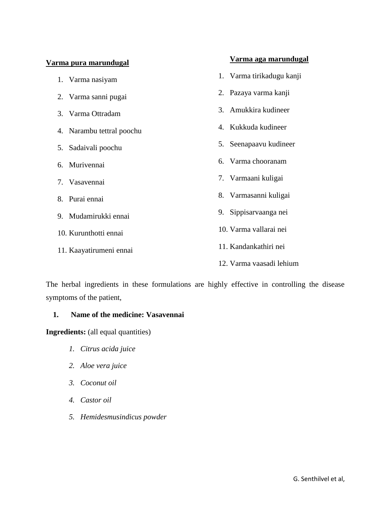### **Varma pura marundugal**

| 1. Varma nasiyam          | 1. Varma tirikadugu kanji |
|---------------------------|---------------------------|
| 2. Varma sanni pugai      | 2. Pazaya varma kanji     |
| 3. Varma Ottradam         | 3. Amukkira kudineer      |
| 4. Narambu tettral poochu | 4. Kukkuda kudineer       |
| 5. Sadaivali poochu       | 5. Seenapaavu kudineer    |
| 6. Murivennai             | 6. Varma chooranam        |
| 7. Vasavennai             | 7. Varmaani kuligai       |
| 8. Purai ennai            | 8. Varmasanni kuligai     |
| 9. Mudamirukki ennai      | 9. Sippisarvaanga nei     |
| 10. Kurunthotti ennai     | 10. Varma vallarai nei    |
| 11. Kaayatirumeni ennai   | 11. Kandankathiri nei     |

12. Varma vaasadi lehium

**Varma aga marundugal**

The herbal ingredients in these formulations are highly effective in controlling the disease symptoms of the patient,

### **1. Name of the medicine: Vasavennai**

**Ingredients:** (all equal quantities)

- *1. Citrus acida juice*
- *2. Aloe vera juice*
- *3. Coconut oil*
- *4. Castor oil*
- *5. Hemidesmusindicus powder*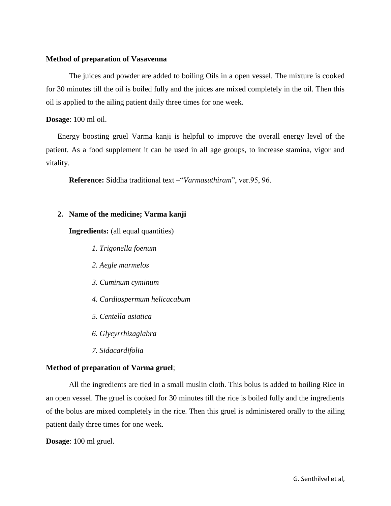#### **Method of preparation of Vasavenna**

The juices and powder are added to boiling Oils in a open vessel. The mixture is cooked for 30 minutes till the oil is boiled fully and the juices are mixed completely in the oil. Then this oil is applied to the ailing patient daily three times for one week.

**Dosage**: 100 ml oil.

Energy boosting gruel Varma kanji is helpful to improve the overall energy level of the patient. As a food supplement it can be used in all age groups, to increase stamina, vigor and vitality.

**Reference:** Siddha traditional text –"*Varmasuthiram*", ver.95, 96.

#### **2. Name of the medicine; Varma kanji**

**Ingredients:** (all equal quantities)

- *1. Trigonella foenum*
- *2. Aegle marmelos*
- *3. Cuminum cyminum*
- *4. Cardiospermum helicacabum*
- *5. Centella asiatica*
- *6. Glycyrrhizaglabra*
- *7. Sidacardifolia*

#### **Method of preparation of Varma gruel**;

All the ingredients are tied in a small muslin cloth. This bolus is added to boiling Rice in an open vessel. The gruel is cooked for 30 minutes till the rice is boiled fully and the ingredients of the bolus are mixed completely in the rice. Then this gruel is administered orally to the ailing patient daily three times for one week.

#### **Dosage**: 100 ml gruel.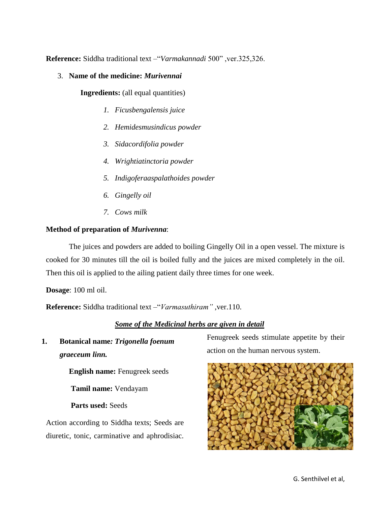**Reference:** Siddha traditional text –"*Varmakannadi* 500" ,ver.325,326.

#### 3. **Name of the medicine:** *Murivennai*

**Ingredients:** (all equal quantities)

- *1. Ficusbengalensis juice*
- *2. Hemidesmusindicus powder*
- *3. Sidacordifolia powder*
- *4. Wrightiatinctoria powder*
- *5. Indigoferaaspalathoides powder*
- *6. Gingelly oil*
- *7. Cows milk*

### **Method of preparation of** *Murivenna*:

The juices and powders are added to boiling Gingelly Oil in a open vessel. The mixture is cooked for 30 minutes till the oil is boiled fully and the juices are mixed completely in the oil. Then this oil is applied to the ailing patient daily three times for one week.

**Dosage**: 100 ml oil.

**Reference:** Siddha traditional text –"*Varmasuthiram"* ,ver.110.

### *Some of the Medicinal herbs are given in detail*

**1. Botanical name***: Trigonella foenum graeceum linn.*

 **English name:** Fenugreek seeds

 **Tamil name:** Vendayam

 **Parts used:** Seeds

Action according to Siddha texts; Seeds are diuretic, tonic, carminative and aphrodisiac.

Fenugreek seeds stimulate appetite by their action on the human nervous system.

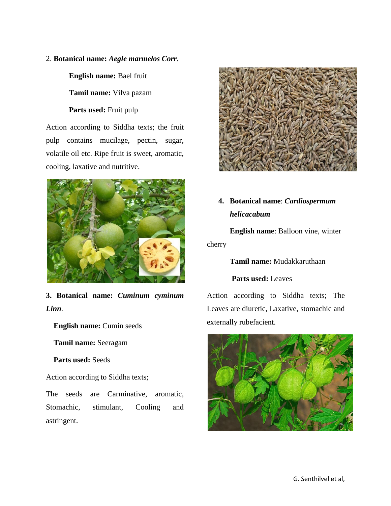### 2. **Botanical name:** *Aegle marmelos Corr.*

 **English name:** Bael fruit

 **Tamil name:** Vilva pazam

 **Parts used:** Fruit pulp

Action according to Siddha texts; the fruit pulp contains mucilage, pectin, sugar, volatile oil etc. Ripe fruit is sweet, aromatic, cooling, laxative and nutritive.



**3. Botanical name:** *Cuminum cyminum Linn.*

 **English name:** Cumin seeds

 **Tamil name:** Seeragam

 **Parts used:** Seeds

Action according to Siddha texts;

The seeds are Carminative, aromatic, Stomachic, stimulant, Cooling and astringent.



# **4. Botanical name**: *Cardiospermum helicacabum*

 **English name**: Balloon vine, winter cherry

**Tamil name:** Mudakkaruthaan

**Parts used:** Leaves

Action according to Siddha texts; The Leaves are diuretic, Laxative, stomachic and externally rubefacient.

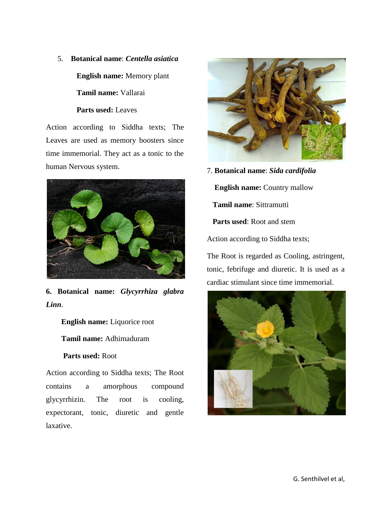### 5. **Botanical name**: *Centella asiatica*

**English name:** Memory plant

 **Tamil name:** Vallarai

#### **Parts used:** Leaves

Action according to Siddha texts; The Leaves are used as memory boosters since time immemorial. They act as a tonic to the human Nervous system.



**6. Botanical name:** *Glycyrrhiza glabra Linn.*

 **English name:** Liquorice root

### **Tamil name:** Adhimaduram

### **Parts used:** Root

Action according to Siddha texts; The Root contains a amorphous compound glycyrrhizin. The root is cooling, expectorant, tonic, diuretic and gentle laxative.



7. **Botanical name**: *Sida cardifolia*  **English name:** Country mallow **Tamil name**: Sittramutti  **Parts used**: Root and stem

Action according to Siddha texts;

The Root is regarded as Cooling, astringent, tonic, febrifuge and diuretic. It is used as a cardiac stimulant since time immemorial.

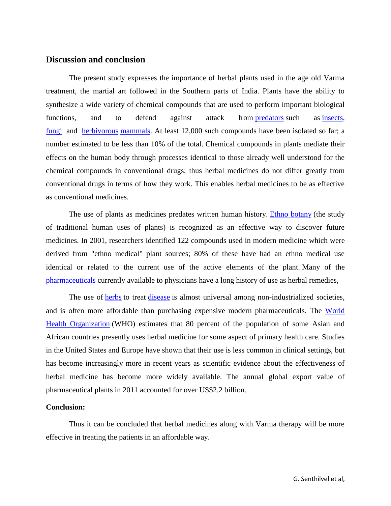### **Discussion and conclusion**

The present study expresses the importance of herbal plants used in the age old Varma treatment, the martial art followed in the Southern parts of India. Plants have the ability to synthesize a wide variety of chemical compounds that are used to perform important biological functions, and to defend against attack from [predators](http://en.wikipedia.org/wiki/Predator) such as [insects,](http://en.wikipedia.org/wiki/Insect) [fungi](http://en.wikipedia.org/wiki/Fungi) and [herbivorous](http://en.wikipedia.org/wiki/Herbivorous) [mammals.](http://en.wikipedia.org/wiki/Mammal) At least 12,000 such compounds have been isolated so far; a number estimated to be less than 10% of the total. Chemical compounds in plants mediate their effects on the human body through processes identical to those already well understood for the chemical compounds in conventional drugs; thus herbal medicines do not differ greatly from conventional drugs in terms of how they work. This enables herbal medicines to be as effective as conventional medicines.

The use of plants as medicines predates written human history. [Ethno botany](http://en.wikipedia.org/wiki/Ethnobotany) (the study of traditional human uses of plants) is recognized as an effective way to discover future medicines. In 2001, researchers identified 122 compounds used in modern medicine which were derived from "ethno medical" plant sources; 80% of these have had an ethno medical use identical or related to the current use of the active elements of the plant. Many of the [pharmaceuticals](http://en.wikipedia.org/wiki/Pharmaceuticals) currently available to physicians have a long history of use as herbal remedies,

The use of [herbs](http://en.wikipedia.org/wiki/Herb) to treat [disease](http://en.wikipedia.org/wiki/Disease) is almost universal among non-industrialized societies, and is often more affordable than purchasing expensive modern pharmaceuticals. The [World](http://en.wikipedia.org/wiki/World_Health_Organization)  [Health Organization](http://en.wikipedia.org/wiki/World_Health_Organization) (WHO) estimates that 80 percent of the population of some Asian and African countries presently uses herbal medicine for some aspect of primary health care. Studies in the United States and Europe have shown that their use is less common in clinical settings, but has become increasingly more in recent years as scientific evidence about the effectiveness of herbal medicine has become more widely available. The annual global export value of pharmaceutical plants in 2011 accounted for over US\$2.2 billion.

#### **Conclusion:**

Thus it can be concluded that herbal medicines along with Varma therapy will be more effective in treating the patients in an affordable way.